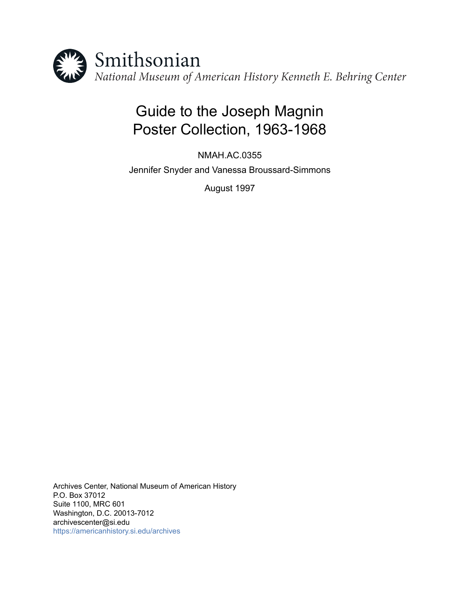

# Guide to the Joseph Magnin Poster Collection, 1963-1968

NMAH.AC.0355 Jennifer Snyder and Vanessa Broussard-Simmons

August 1997

Archives Center, National Museum of American History P.O. Box 37012 Suite 1100, MRC 601 Washington, D.C. 20013-7012 archivescenter@si.edu <https://americanhistory.si.edu/archives>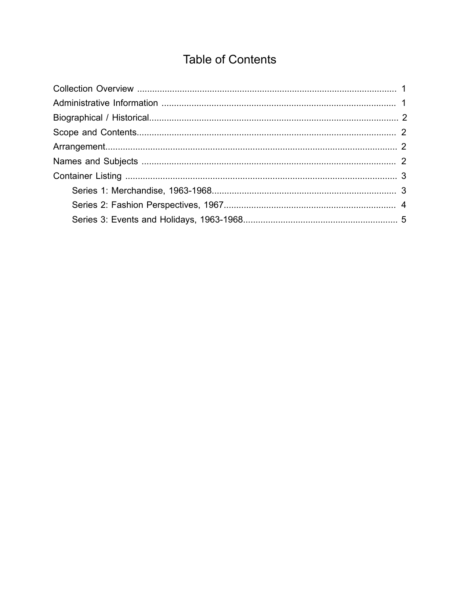## **Table of Contents**

<span id="page-1-0"></span>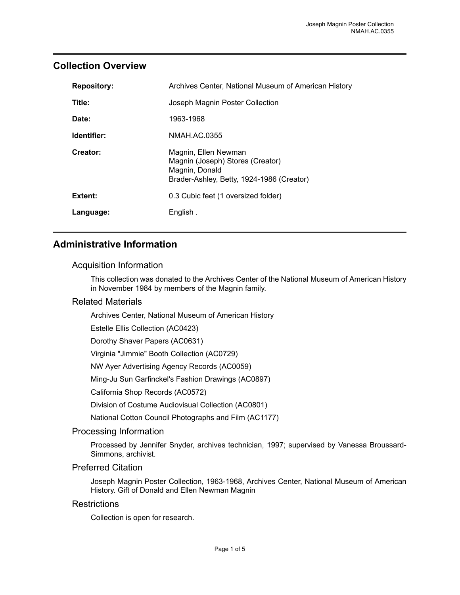#### <span id="page-2-0"></span>**Collection Overview**

| <b>Repository:</b> | Archives Center, National Museum of American History                                                                    |
|--------------------|-------------------------------------------------------------------------------------------------------------------------|
| Title:             | Joseph Magnin Poster Collection                                                                                         |
| Date:              | 1963-1968                                                                                                               |
| Identifier:        | NMAH.AC.0355                                                                                                            |
| Creator:           | Magnin, Ellen Newman<br>Magnin (Joseph) Stores (Creator)<br>Magnin, Donald<br>Brader-Ashley, Betty, 1924-1986 (Creator) |
| Extent:            | 0.3 Cubic feet (1 oversized folder)                                                                                     |
| Language:          | English.                                                                                                                |

## <span id="page-2-1"></span>**Administrative Information**

#### Acquisition Information

This collection was donated to the Archives Center of the National Museum of American History in November 1984 by members of the Magnin family.

#### Related Materials

Archives Center, National Museum of American History

Estelle Ellis Collection (AC0423)

Dorothy Shaver Papers (AC0631)

Virginia "Jimmie" Booth Collection (AC0729)

NW Ayer Advertising Agency Records (AC0059)

Ming-Ju Sun Garfinckel's Fashion Drawings (AC0897)

California Shop Records (AC0572)

Division of Costume Audiovisual Collection (AC0801)

National Cotton Council Photographs and Film (AC1177)

#### Processing Information

Processed by Jennifer Snyder, archives technician, 1997; supervised by Vanessa Broussard-Simmons, archivist.

#### Preferred Citation

Joseph Magnin Poster Collection, 1963-1968, Archives Center, National Museum of American History. Gift of Donald and Ellen Newman Magnin

#### **Restrictions**

Collection is open for research.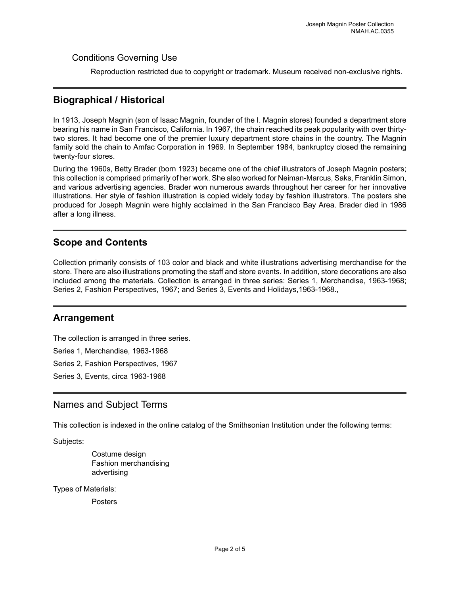#### Conditions Governing Use

Reproduction restricted due to copyright or trademark. Museum received non-exclusive rights.

#### <span id="page-3-0"></span>**Biographical / Historical**

In 1913, Joseph Magnin (son of Isaac Magnin, founder of the I. Magnin stores) founded a department store bearing his name in San Francisco, California. In 1967, the chain reached its peak popularity with over thirtytwo stores. It had become one of the premier luxury department store chains in the country. The Magnin family sold the chain to Amfac Corporation in 1969. In September 1984, bankruptcy closed the remaining twenty-four stores.

During the 1960s, Betty Brader (born 1923) became one of the chief illustrators of Joseph Magnin posters; this collection is comprised primarily of her work. She also worked for Neiman-Marcus, Saks, Franklin Simon, and various advertising agencies. Brader won numerous awards throughout her career for her innovative illustrations. Her style of fashion illustration is copied widely today by fashion illustrators. The posters she produced for Joseph Magnin were highly acclaimed in the San Francisco Bay Area. Brader died in 1986 after a long illness.

#### <span id="page-3-1"></span>**Scope and Contents**

Collection primarily consists of 103 color and black and white illustrations advertising merchandise for the store. There are also illustrations promoting the staff and store events. In addition, store decorations are also included among the materials. Collection is arranged in three series: Series 1, Merchandise, 1963-1968; Series 2, Fashion Perspectives, 1967; and Series 3, Events and Holidays,1963-1968.,

#### <span id="page-3-2"></span>**Arrangement**

The collection is arranged in three series.

Series 1, Merchandise, 1963-1968

Series 2, Fashion Perspectives, 1967

Series 3, Events, circa 1963-1968

#### <span id="page-3-3"></span>Names and Subject Terms

This collection is indexed in the online catalog of the Smithsonian Institution under the following terms:

Subjects:

Costume design Fashion merchandising advertising

Types of Materials:

**Posters**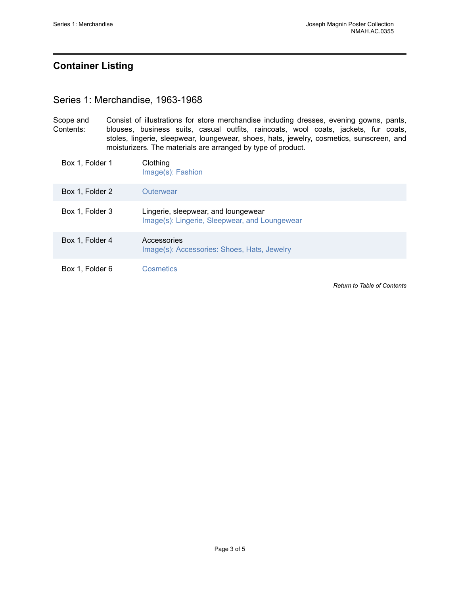## <span id="page-4-0"></span>**Container Listing**

#### <span id="page-4-1"></span>Series 1: Merchandise, 1963-1968

Scope and Contents: Consist of illustrations for store merchandise including dresses, evening gowns, pants, blouses, business suits, casual outfits, raincoats, wool coats, jackets, fur coats, stoles, lingerie, sleepwear, loungewear, shoes, hats, jewelry, cosmetics, sunscreen, and moisturizers. The materials are arranged by type of product.

| Box 1, Folder 1 | Clothing<br>Image(s): Fashion                                                        |
|-----------------|--------------------------------------------------------------------------------------|
| Box 1, Folder 2 | Outerwear                                                                            |
| Box 1, Folder 3 | Lingerie, sleepwear, and loungewear<br>Image(s): Lingerie, Sleepwear, and Loungewear |
| Box 1, Folder 4 | Accessories<br>Image(s): Accessories: Shoes, Hats, Jewelry                           |
| Box 1, Folder 6 | Cosmetics                                                                            |

*Return to Table of [Contents](#page-1-0)*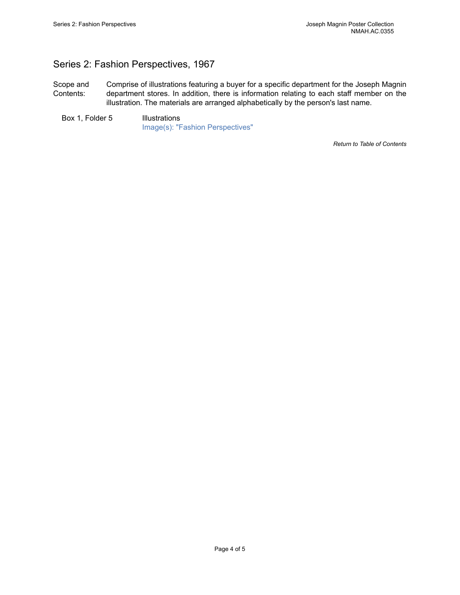## <span id="page-5-0"></span>Series 2: Fashion Perspectives, 1967

Scope and Contents: Comprise of illustrations featuring a buyer for a specific department for the Joseph Magnin department stores. In addition, there is information relating to each staff member on the illustration. The materials are arranged alphabetically by the person's last name.

Box 1, Folder 5 Illustrations [Image\(s\): "Fashion Perspectives"](https://edan.si.edu/slideshow/slideshowViewer.htm?eadrefid=NMAH.AC.0355_ref25)

*Return to Table of [Contents](#page-1-0)*